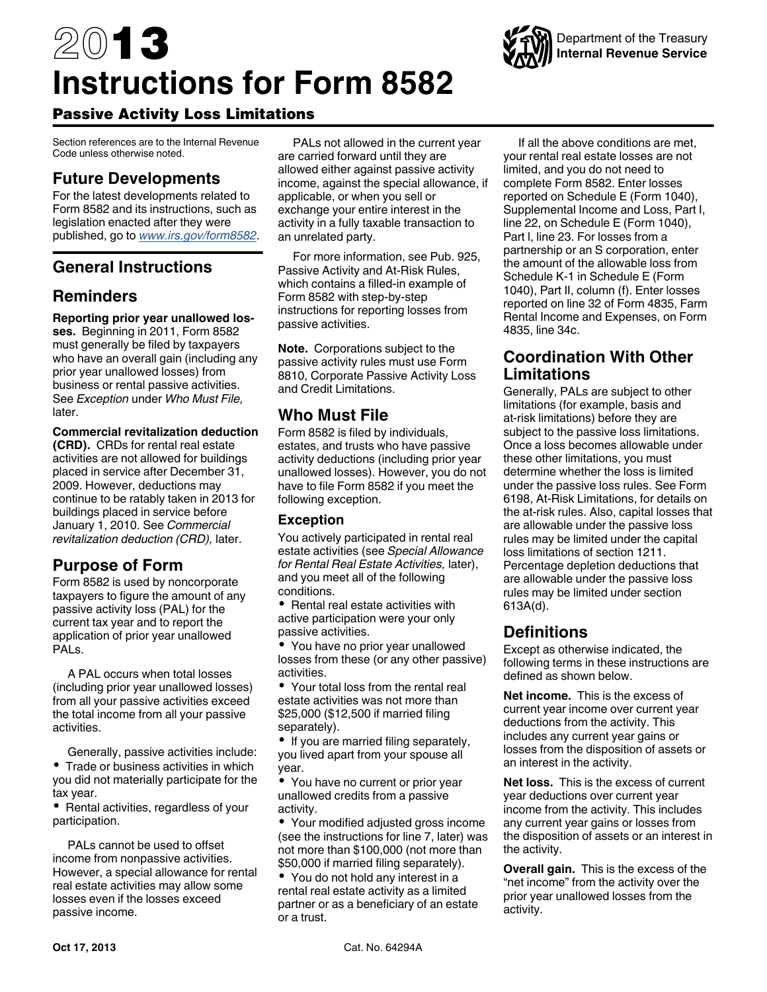# 2013 **Instructions for Form 8582**

# Passive Activity Loss Limitations

Section references are to the Internal Revenue Code unless otherwise noted.

# **Future Developments**

For the latest developments related to Form 8582 and its instructions, such as legislation enacted after they were published, go to *[www.irs.gov/form8582](http://www.irs.gov/form8582)*.

# **General Instructions**

# **Reminders**

**Reporting prior year unallowed losses.** Beginning in 2011, Form 8582 must generally be filed by taxpayers who have an overall gain (including any prior year unallowed losses) from business or rental passive activities. See *Exception* under *Who Must File,*  later.

#### **Commercial revitalization deduction**

**(CRD).** CRDs for rental real estate activities are not allowed for buildings placed in service after December 31, 2009. However, deductions may continue to be ratably taken in 2013 for buildings placed in service before January 1, 2010. See *Commercial revitalization deduction (CRD),* later.

# **Purpose of Form**

Form 8582 is used by noncorporate taxpayers to figure the amount of any passive activity loss (PAL) for the current tax year and to report the application of prior year unallowed PALs.

A PAL occurs when total losses (including prior year unallowed losses) from all your passive activities exceed the total income from all your passive activities.

Generally, passive activities include: Trade or business activities in which you did not materially participate for the tax year.

• Rental activities, regardless of your participation.

PALs cannot be used to offset income from nonpassive activities. However, a special allowance for rental real estate activities may allow some losses even if the losses exceed passive income.

PALs not allowed in the current year are carried forward until they are allowed either against passive activity income, against the special allowance, if applicable, or when you sell or exchange your entire interest in the activity in a fully taxable transaction to an unrelated party.

For more information, see Pub. 925, Passive Activity and At-Risk Rules, which contains a filled-in example of Form 8582 with step-by-step instructions for reporting losses from passive activities.

**Note.** Corporations subject to the passive activity rules must use Form 8810, Corporate Passive Activity Loss and Credit Limitations.

# **Who Must File**

Form 8582 is filed by individuals, estates, and trusts who have passive activity deductions (including prior year unallowed losses). However, you do not have to file Form 8582 if you meet the following exception.

## **Exception**

You actively participated in rental real estate activities (see *Special Allowance for Rental Real Estate Activities,* later), and you meet all of the following conditions.

• Rental real estate activities with active participation were your only passive activities.

You have no prior year unallowed losses from these (or any other passive) activities.

Your total loss from the rental real estate activities was not more than \$25,000 (\$12,500 if married filing separately).

• If you are married filing separately, you lived apart from your spouse all year.

You have no current or prior year unallowed credits from a passive activity.

Your modified adjusted gross income (see the instructions for line 7, later) was not more than \$100,000 (not more than \$50,000 if married filing separately).

You do not hold any interest in a rental real estate activity as a limited partner or as a beneficiary of an estate or a trust.

If all the above conditions are met, your rental real estate losses are not limited, and you do not need to complete Form 8582. Enter losses reported on Schedule E (Form 1040), Supplemental Income and Loss, Part I, line 22, on Schedule E (Form 1040), Part l, line 23. For losses from a partnership or an S corporation, enter the amount of the allowable loss from Schedule K-1 in Schedule E (Form 1040), Part II, column (f). Enter losses reported on line 32 of Form 4835, Farm Rental Income and Expenses, on Form 4835, line 34c.

## **Coordination With Other Limitations**

Generally, PALs are subject to other limitations (for example, basis and at-risk limitations) before they are subject to the passive loss limitations. Once a loss becomes allowable under these other limitations, you must determine whether the loss is limited under the passive loss rules. See Form 6198, At-Risk Limitations, for details on the at-risk rules. Also, capital losses that are allowable under the passive loss rules may be limited under the capital loss limitations of section 1211. Percentage depletion deductions that are allowable under the passive loss rules may be limited under section 613A(d).

# **Definitions**

Except as otherwise indicated, the following terms in these instructions are defined as shown below.

**Net income.** This is the excess of current year income over current year deductions from the activity. This includes any current year gains or losses from the disposition of assets or an interest in the activity.

**Net loss.** This is the excess of current year deductions over current year income from the activity. This includes any current year gains or losses from the disposition of assets or an interest in the activity.

**Overall gain.** This is the excess of the "net income" from the activity over the prior year unallowed losses from the activity.

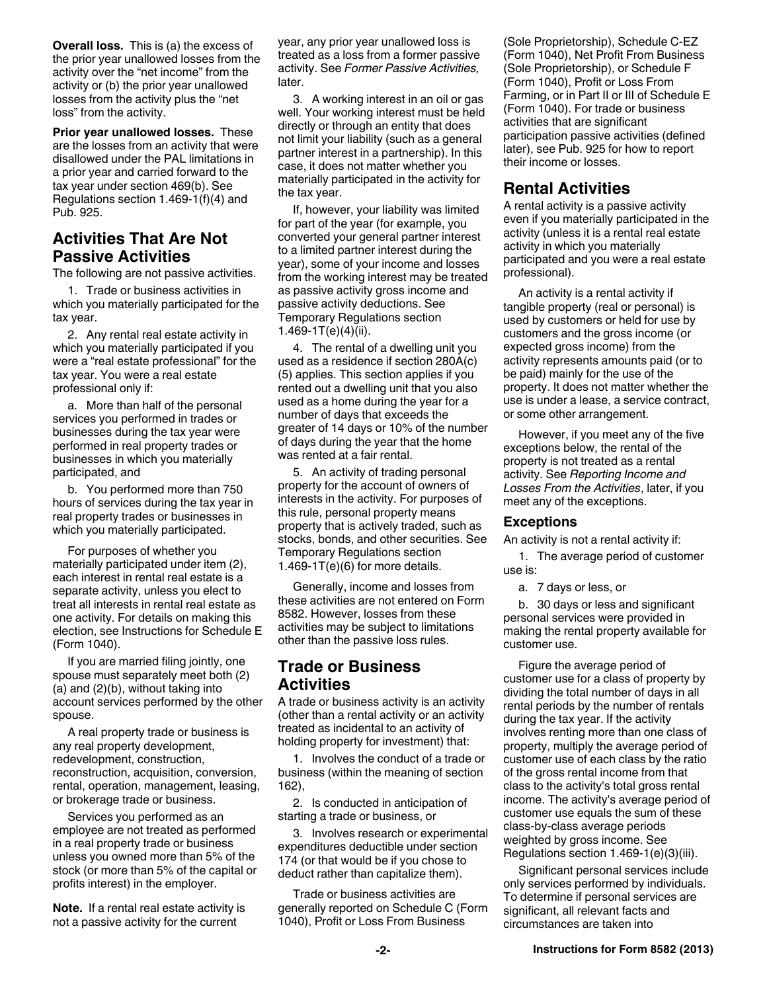**Overall loss.** This is (a) the excess of the prior year unallowed losses from the activity over the "net income" from the activity or (b) the prior year unallowed losses from the activity plus the "net loss" from the activity.

**Prior year unallowed losses.** These are the losses from an activity that were disallowed under the PAL limitations in a prior year and carried forward to the tax year under section 469(b). See Regulations section 1.469-1(f)(4) and Pub. 925.

## **Activities That Are Not Passive Activities**

The following are not passive activities.

1. Trade or business activities in which you materially participated for the tax year.

2. Any rental real estate activity in which you materially participated if you were a "real estate professional" for the tax year. You were a real estate professional only if:

a. More than half of the personal services you performed in trades or businesses during the tax year were performed in real property trades or businesses in which you materially participated, and

b. You performed more than 750 hours of services during the tax year in real property trades or businesses in which you materially participated.

For purposes of whether you materially participated under item (2), each interest in rental real estate is a separate activity, unless you elect to treat all interests in rental real estate as one activity. For details on making this election, see Instructions for Schedule E (Form 1040).

If you are married filing jointly, one spouse must separately meet both (2) (a) and (2)(b), without taking into account services performed by the other spouse.

A real property trade or business is any real property development, redevelopment, construction, reconstruction, acquisition, conversion, rental, operation, management, leasing, or brokerage trade or business.

Services you performed as an employee are not treated as performed in a real property trade or business unless you owned more than 5% of the stock (or more than 5% of the capital or profits interest) in the employer.

**Note.** If a rental real estate activity is not a passive activity for the current

year, any prior year unallowed loss is treated as a loss from a former passive activity. See *Former Passive Activities,*  later.

3. A working interest in an oil or gas well. Your working interest must be held directly or through an entity that does not limit your liability (such as a general partner interest in a partnership). In this case, it does not matter whether you materially participated in the activity for the tax year.

If, however, your liability was limited for part of the year (for example, you converted your general partner interest to a limited partner interest during the year), some of your income and losses from the working interest may be treated as passive activity gross income and passive activity deductions. See Temporary Regulations section 1.469-1T(e)(4)(ii).

4. The rental of a dwelling unit you used as a residence if section 280A(c) (5) applies. This section applies if you rented out a dwelling unit that you also used as a home during the year for a number of days that exceeds the greater of 14 days or 10% of the number of days during the year that the home was rented at a fair rental.

5. An activity of trading personal property for the account of owners of interests in the activity. For purposes of this rule, personal property means property that is actively traded, such as stocks, bonds, and other securities. See Temporary Regulations section 1.469-1 $T(e)$ (6) for more details.

Generally, income and losses from these activities are not entered on Form 8582. However, losses from these activities may be subject to limitations other than the passive loss rules.

## **Trade or Business Activities**

A trade or business activity is an activity (other than a rental activity or an activity treated as incidental to an activity of holding property for investment) that:

1. Involves the conduct of a trade or business (within the meaning of section 162),

2. Is conducted in anticipation of starting a trade or business, or

3. Involves research or experimental expenditures deductible under section 174 (or that would be if you chose to deduct rather than capitalize them).

Trade or business activities are generally reported on Schedule C (Form 1040), Profit or Loss From Business

(Sole Proprietorship), Schedule C-EZ (Form 1040), Net Profit From Business (Sole Proprietorship), or Schedule F (Form 1040), Profit or Loss From Farming, or in Part II or III of Schedule E (Form 1040). For trade or business activities that are significant participation passive activities (defined later), see Pub. 925 for how to report their income or losses.

## **Rental Activities**

A rental activity is a passive activity even if you materially participated in the activity (unless it is a rental real estate activity in which you materially participated and you were a real estate professional).

An activity is a rental activity if tangible property (real or personal) is used by customers or held for use by customers and the gross income (or expected gross income) from the activity represents amounts paid (or to be paid) mainly for the use of the property. It does not matter whether the use is under a lease, a service contract, or some other arrangement.

However, if you meet any of the five exceptions below, the rental of the property is not treated as a rental activity. See *Reporting Income and Losses From the Activities*, later, if you meet any of the exceptions.

#### **Exceptions**

An activity is not a rental activity if:

1. The average period of customer use is:

a. 7 days or less, or

b. 30 days or less and significant personal services were provided in making the rental property available for customer use.

Figure the average period of customer use for a class of property by dividing the total number of days in all rental periods by the number of rentals during the tax year. If the activity involves renting more than one class of property, multiply the average period of customer use of each class by the ratio of the gross rental income from that class to the activity's total gross rental income. The activity's average period of customer use equals the sum of these class-by-class average periods weighted by gross income. See Regulations section 1.469-1(e)(3)(iii).

Significant personal services include only services performed by individuals. To determine if personal services are significant, all relevant facts and circumstances are taken into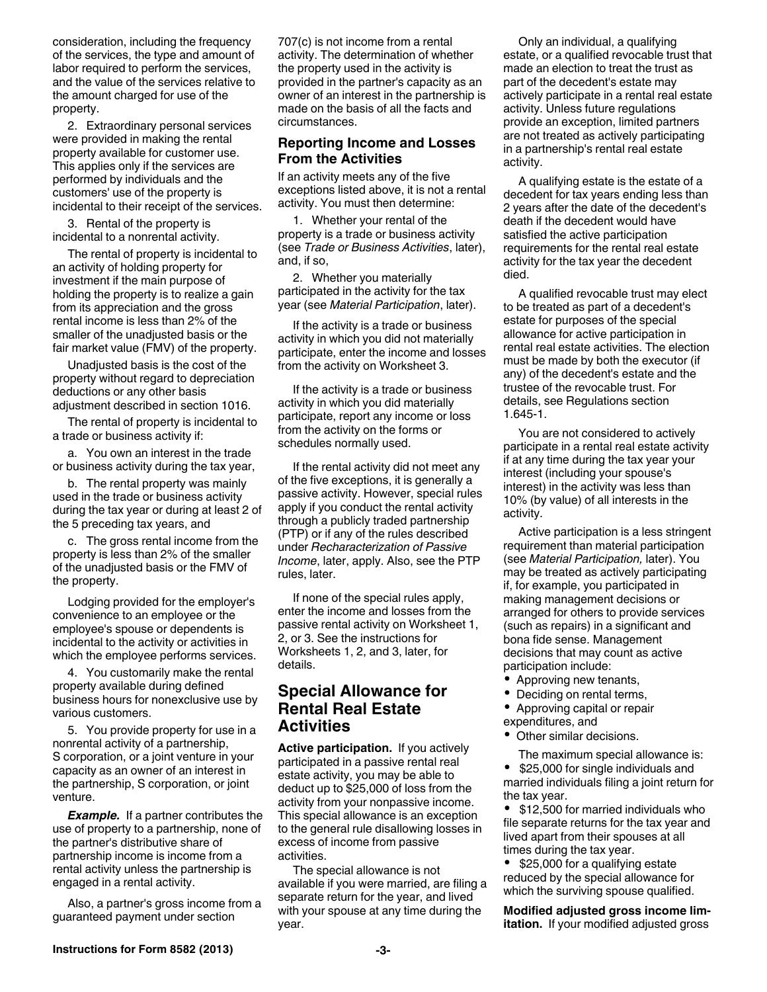consideration, including the frequency of the services, the type and amount of labor required to perform the services, and the value of the services relative to the amount charged for use of the property.

2. Extraordinary personal services were provided in making the rental property available for customer use. This applies only if the services are performed by individuals and the customers' use of the property is incidental to their receipt of the services.

3. Rental of the property is incidental to a nonrental activity.

The rental of property is incidental to an activity of holding property for investment if the main purpose of holding the property is to realize a gain from its appreciation and the gross rental income is less than 2% of the smaller of the unadjusted basis or the fair market value (FMV) of the property.

Unadjusted basis is the cost of the property without regard to depreciation deductions or any other basis adjustment described in section 1016.

The rental of property is incidental to a trade or business activity if:

a. You own an interest in the trade or business activity during the tax year,

b. The rental property was mainly used in the trade or business activity during the tax year or during at least 2 of the 5 preceding tax years, and

c. The gross rental income from the property is less than 2% of the smaller of the unadjusted basis or the FMV of the property.

Lodging provided for the employer's convenience to an employee or the employee's spouse or dependents is incidental to the activity or activities in which the employee performs services.

4. You customarily make the rental property available during defined business hours for nonexclusive use by various customers.

5. You provide property for use in a nonrental activity of a partnership, S corporation, or a joint venture in your capacity as an owner of an interest in the partnership, S corporation, or joint venture.

*Example.* If a partner contributes the use of property to a partnership, none of the partner's distributive share of partnership income is income from a rental activity unless the partnership is engaged in a rental activity.

Also, a partner's gross income from a guaranteed payment under section

707(c) is not income from a rental activity. The determination of whether the property used in the activity is provided in the partner's capacity as an owner of an interest in the partnership is made on the basis of all the facts and circumstances.

#### **Reporting Income and Losses From the Activities**

If an activity meets any of the five exceptions listed above, it is not a rental activity. You must then determine:

1. Whether your rental of the property is a trade or business activity (see *Trade or Business Activities*, later), and, if so,

2. Whether you materially participated in the activity for the tax year (see *Material Participation*, later).

If the activity is a trade or business activity in which you did not materially participate, enter the income and losses from the activity on Worksheet 3.

If the activity is a trade or business activity in which you did materially participate, report any income or loss from the activity on the forms or schedules normally used.

If the rental activity did not meet any of the five exceptions, it is generally a passive activity. However, special rules apply if you conduct the rental activity through a publicly traded partnership (PTP) or if any of the rules described under *Recharacterization of Passive Income*, later, apply. Also, see the PTP rules, later.

If none of the special rules apply, enter the income and losses from the passive rental activity on Worksheet 1, 2, or 3. See the instructions for Worksheets 1, 2, and 3, later, for details.

## **Special Allowance for Rental Real Estate Activities**

**Active participation.** If you actively participated in a passive rental real estate activity, you may be able to deduct up to \$25,000 of loss from the activity from your nonpassive income. This special allowance is an exception to the general rule disallowing losses in excess of income from passive activities.

The special allowance is not available if you were married, are filing a separate return for the year, and lived with your spouse at any time during the year.

Only an individual, a qualifying estate, or a qualified revocable trust that made an election to treat the trust as part of the decedent's estate may actively participate in a rental real estate activity. Unless future regulations provide an exception, limited partners are not treated as actively participating in a partnership's rental real estate activity.

A qualifying estate is the estate of a decedent for tax years ending less than 2 years after the date of the decedent's death if the decedent would have satisfied the active participation requirements for the rental real estate activity for the tax year the decedent died.

A qualified revocable trust may elect to be treated as part of a decedent's estate for purposes of the special allowance for active participation in rental real estate activities. The election must be made by both the executor (if any) of the decedent's estate and the trustee of the revocable trust. For details, see Regulations section 1.645-1.

You are not considered to actively participate in a rental real estate activity if at any time during the tax year your interest (including your spouse's interest) in the activity was less than 10% (by value) of all interests in the activity.

Active participation is a less stringent requirement than material participation (see *Material Participation,* later). You may be treated as actively participating if, for example, you participated in making management decisions or arranged for others to provide services (such as repairs) in a significant and bona fide sense. Management decisions that may count as active participation include:

- Approving new tenants,
- Deciding on rental terms,
- $\bullet$ Approving capital or repair
- expenditures, and
- Other similar decisions.

The maximum special allowance is:

 $\bullet$  \$25,000 for single individuals and married individuals filing a joint return for the tax year.

• \$12,500 for married individuals who file separate returns for the tax year and lived apart from their spouses at all times during the tax year.

• \$25,000 for a qualifying estate reduced by the special allowance for which the surviving spouse qualified.

**Modified adjusted gross income limitation.** If your modified adjusted gross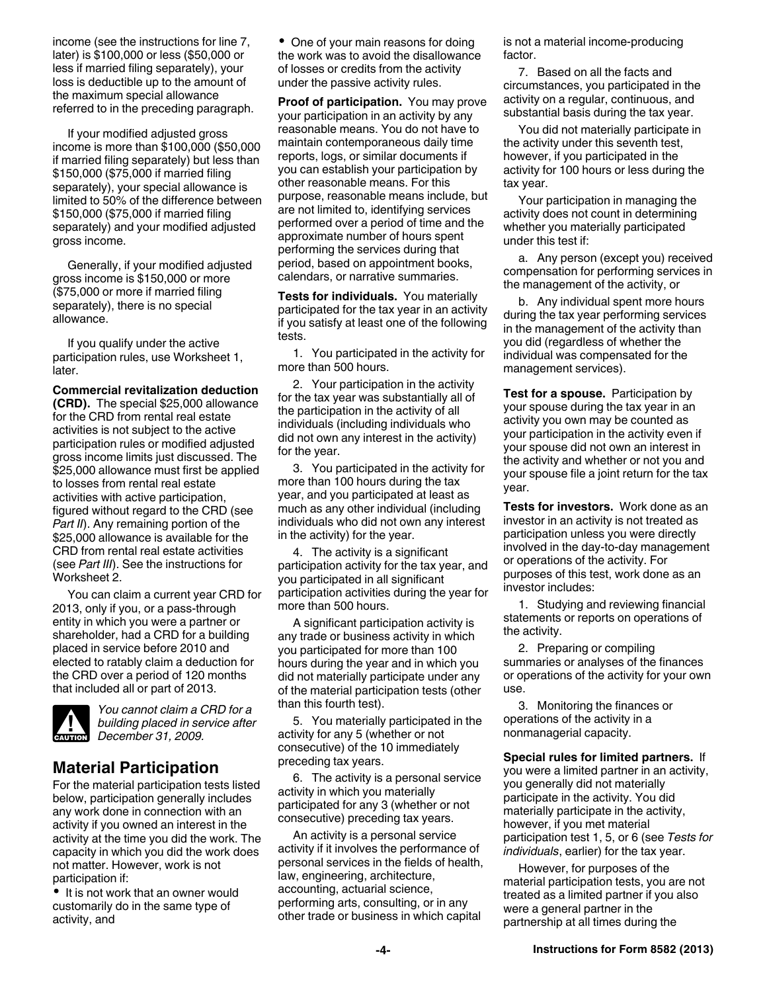income (see the instructions for line 7, later) is \$100,000 or less (\$50,000 or less if married filing separately), your loss is deductible up to the amount of the maximum special allowance referred to in the preceding paragraph.

If your modified adjusted gross income is more than \$100,000 (\$50,000 if married filing separately) but less than \$150,000 (\$75,000 if married filing separately), your special allowance is limited to 50% of the difference between \$150,000 (\$75,000 if married filing separately) and your modified adjusted gross income.

Generally, if your modified adjusted gross income is \$150,000 or more (\$75,000 or more if married filing separately), there is no special allowance.

If you qualify under the active participation rules, use Worksheet 1, later.

**Commercial revitalization deduction (CRD).** The special \$25,000 allowance for the CRD from rental real estate activities is not subject to the active participation rules or modified adjusted gross income limits just discussed. The \$25,000 allowance must first be applied to losses from rental real estate activities with active participation, figured without regard to the CRD (see *Part II*). Any remaining portion of the \$25,000 allowance is available for the CRD from rental real estate activities (see *Part III*). See the instructions for Worksheet 2.

You can claim a current year CRD for 2013, only if you, or a pass-through entity in which you were a partner or shareholder, had a CRD for a building placed in service before 2010 and elected to ratably claim a deduction for the CRD over a period of 120 months that included all or part of 2013.



*You cannot claim a CRD for a building placed in service after*  **building placed in se**<br> **December 31, 2009.** 

# **Material Participation**

For the material participation tests listed below, participation generally includes any work done in connection with an activity if you owned an interest in the activity at the time you did the work. The capacity in which you did the work does not matter. However, work is not participation if:

• It is not work that an owner would customarily do in the same type of activity, and

• One of your main reasons for doing the work was to avoid the disallowance of losses or credits from the activity under the passive activity rules.

**Proof of participation.** You may prove your participation in an activity by any reasonable means. You do not have to maintain contemporaneous daily time reports, logs, or similar documents if you can establish your participation by other reasonable means. For this purpose, reasonable means include, but are not limited to, identifying services performed over a period of time and the approximate number of hours spent performing the services during that period, based on appointment books, calendars, or narrative summaries.

**Tests for individuals.** You materially participated for the tax year in an activity if you satisfy at least one of the following tests.

1. You participated in the activity for more than 500 hours.

2. Your participation in the activity for the tax year was substantially all of the participation in the activity of all individuals (including individuals who did not own any interest in the activity) for the year.

3. You participated in the activity for more than 100 hours during the tax year, and you participated at least as much as any other individual (including individuals who did not own any interest in the activity) for the year.

4. The activity is a significant participation activity for the tax year, and you participated in all significant participation activities during the year for more than 500 hours.

A significant participation activity is any trade or business activity in which you participated for more than 100 hours during the year and in which you did not materially participate under any of the material participation tests (other than this fourth test).

5. You materially participated in the activity for any 5 (whether or not consecutive) of the 10 immediately preceding tax years.

6. The activity is a personal service activity in which you materially participated for any 3 (whether or not consecutive) preceding tax years.

An activity is a personal service activity if it involves the performance of personal services in the fields of health, law, engineering, architecture, accounting, actuarial science, performing arts, consulting, or in any other trade or business in which capital

is not a material income-producing factor.

7. Based on all the facts and circumstances, you participated in the activity on a regular, continuous, and substantial basis during the tax year.

You did not materially participate in the activity under this seventh test, however, if you participated in the activity for 100 hours or less during the tax year.

Your participation in managing the activity does not count in determining whether you materially participated under this test if:

a. Any person (except you) received compensation for performing services in the management of the activity, or

b. Any individual spent more hours during the tax year performing services in the management of the activity than you did (regardless of whether the individual was compensated for the management services).

**Test for a spouse.** Participation by your spouse during the tax year in an activity you own may be counted as your participation in the activity even if your spouse did not own an interest in the activity and whether or not you and your spouse file a joint return for the tax year.

**Tests for investors.** Work done as an investor in an activity is not treated as participation unless you were directly involved in the day-to-day management or operations of the activity. For purposes of this test, work done as an investor includes:

1. Studying and reviewing financial statements or reports on operations of the activity.

2. Preparing or compiling summaries or analyses of the finances or operations of the activity for your own use.

3. Monitoring the finances or operations of the activity in a nonmanagerial capacity.

**Special rules for limited partners.** If you were a limited partner in an activity, you generally did not materially participate in the activity. You did materially participate in the activity, however, if you met material participation test 1, 5, or 6 (see *Tests for individuals*, earlier) for the tax year.

However, for purposes of the material participation tests, you are not treated as a limited partner if you also were a general partner in the partnership at all times during the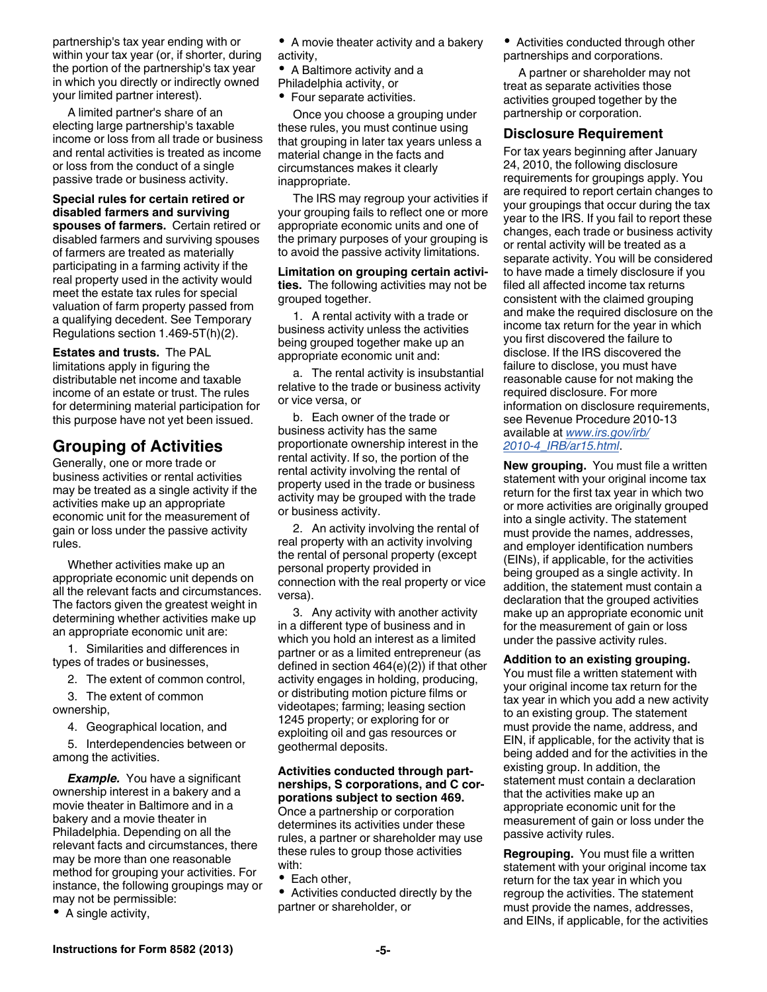partnership's tax year ending with or within your tax year (or, if shorter, during the portion of the partnership's tax year in which you directly or indirectly owned your limited partner interest).

A limited partner's share of an electing large partnership's taxable income or loss from all trade or business and rental activities is treated as income or loss from the conduct of a single passive trade or business activity.

**Special rules for certain retired or disabled farmers and surviving spouses of farmers.** Certain retired or disabled farmers and surviving spouses of farmers are treated as materially participating in a farming activity if the real property used in the activity would meet the estate tax rules for special valuation of farm property passed from a qualifying decedent. See Temporary Regulations section 1.469-5T(h)(2).

**Estates and trusts.** The PAL limitations apply in figuring the distributable net income and taxable income of an estate or trust. The rules for determining material participation for this purpose have not yet been issued.

# **Grouping of Activities**

Generally, one or more trade or business activities or rental activities may be treated as a single activity if the activities make up an appropriate economic unit for the measurement of gain or loss under the passive activity rules.

Whether activities make up an appropriate economic unit depends on all the relevant facts and circumstances. The factors given the greatest weight in determining whether activities make up an appropriate economic unit are:

1. Similarities and differences in types of trades or businesses,

2. The extent of common control,

3. The extent of common ownership,

4. Geographical location, and

5. Interdependencies between or among the activities.

**Example.** You have a significant ownership interest in a bakery and a movie theater in Baltimore and in a bakery and a movie theater in Philadelphia. Depending on all the relevant facts and circumstances, there may be more than one reasonable method for grouping your activities. For instance, the following groupings may or may not be permissible:

• A single activity,

- A movie theater activity and a bakery activity,
- A Baltimore activity and a
- Philadelphia activity, or
- Four separate activities.

Once you choose a grouping under these rules, you must continue using that grouping in later tax years unless a material change in the facts and circumstances makes it clearly inappropriate.

The IRS may regroup your activities if your grouping fails to reflect one or more appropriate economic units and one of the primary purposes of your grouping is to avoid the passive activity limitations.

**Limitation on grouping certain activities.** The following activities may not be grouped together.

1. A rental activity with a trade or business activity unless the activities being grouped together make up an appropriate economic unit and:

a. The rental activity is insubstantial relative to the trade or business activity or vice versa, or

b. Each owner of the trade or business activity has the same proportionate ownership interest in the rental activity. If so, the portion of the rental activity involving the rental of property used in the trade or business activity may be grouped with the trade or business activity.

2. An activity involving the rental of real property with an activity involving the rental of personal property (except personal property provided in connection with the real property or vice versa).

3. Any activity with another activity in a different type of business and in which you hold an interest as a limited partner or as a limited entrepreneur (as defined in section 464(e)(2)) if that other activity engages in holding, producing, or distributing motion picture films or videotapes; farming; leasing section 1245 property; or exploring for or exploiting oil and gas resources or geothermal deposits.

#### **Activities conducted through partnerships, S corporations, and C corporations subject to section 469.**

Once a partnership or corporation determines its activities under these rules, a partner or shareholder may use these rules to group those activities with:

• Each other,

Activities conducted directly by the partner or shareholder, or

Activities conducted through other partnerships and corporations.

A partner or shareholder may not treat as separate activities those activities grouped together by the partnership or corporation.

#### **Disclosure Requirement**

For tax years beginning after January 24, 2010, the following disclosure requirements for groupings apply. You are required to report certain changes to your groupings that occur during the tax year to the IRS. If you fail to report these changes, each trade or business activity or rental activity will be treated as a separate activity. You will be considered to have made a timely disclosure if you filed all affected income tax returns consistent with the claimed grouping and make the required disclosure on the income tax return for the year in which you first discovered the failure to disclose. If the IRS discovered the failure to disclose, you must have reasonable cause for not making the required disclosure. For more information on disclosure requirements, see Revenue Procedure 2010-13 available at *[www.irs.gov/irb/](http://www.irs.gov/irb/2010-04_IRB/ar15.html) [2010-4\\_IRB/ar15.html](http://www.irs.gov/irb/2010-04_IRB/ar15.html)*.

**New grouping.** You must file a written statement with your original income tax return for the first tax year in which two or more activities are originally grouped into a single activity. The statement must provide the names, addresses, and employer identification numbers (EINs), if applicable, for the activities being grouped as a single activity. In addition, the statement must contain a declaration that the grouped activities make up an appropriate economic unit for the measurement of gain or loss under the passive activity rules.

#### **Addition to an existing grouping.**

You must file a written statement with your original income tax return for the tax year in which you add a new activity to an existing group. The statement must provide the name, address, and EIN, if applicable, for the activity that is being added and for the activities in the existing group. In addition, the statement must contain a declaration that the activities make up an appropriate economic unit for the measurement of gain or loss under the passive activity rules.

**Regrouping.** You must file a written statement with your original income tax return for the tax year in which you regroup the activities. The statement must provide the names, addresses, and EINs, if applicable, for the activities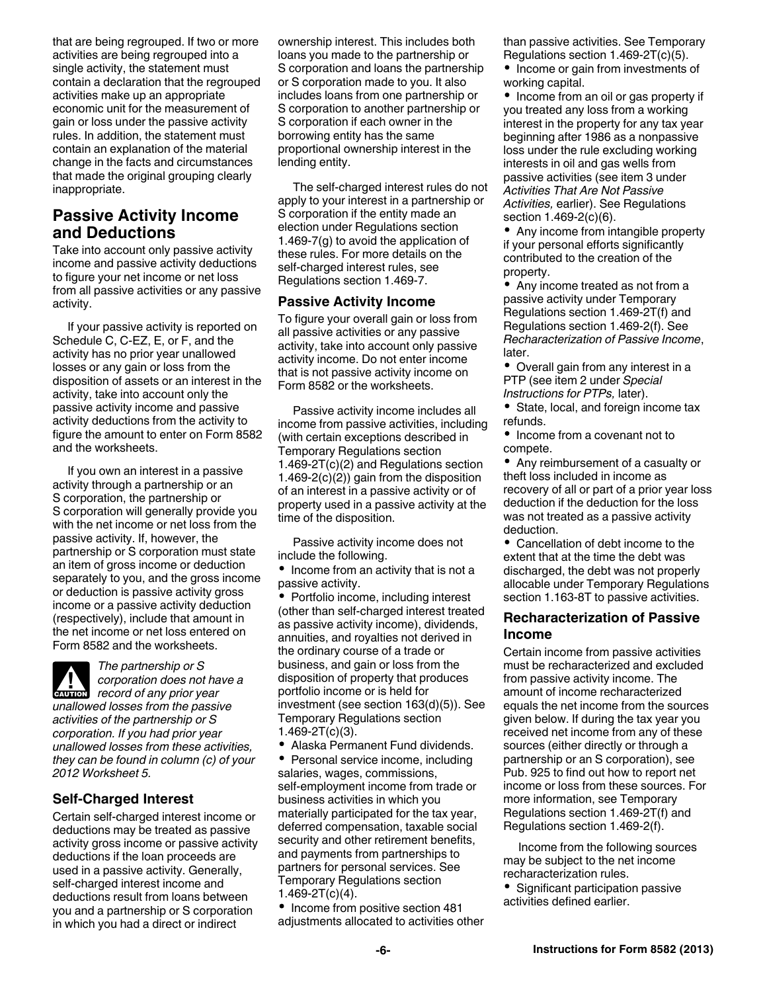that are being regrouped. If two or more activities are being regrouped into a single activity, the statement must contain a declaration that the regrouped activities make up an appropriate economic unit for the measurement of gain or loss under the passive activity rules. In addition, the statement must contain an explanation of the material change in the facts and circumstances that made the original grouping clearly inappropriate.

## **Passive Activity Income and Deductions**

Take into account only passive activity income and passive activity deductions to figure your net income or net loss from all passive activities or any passive activity.

If your passive activity is reported on Schedule C, C-EZ, E, or F, and the activity has no prior year unallowed losses or any gain or loss from the disposition of assets or an interest in the activity, take into account only the passive activity income and passive activity deductions from the activity to figure the amount to enter on Form 8582 and the worksheets.

If you own an interest in a passive activity through a partnership or an S corporation, the partnership or S corporation will generally provide you with the net income or net loss from the passive activity. If, however, the partnership or S corporation must state an item of gross income or deduction separately to you, and the gross income or deduction is passive activity gross income or a passive activity deduction (respectively), include that amount in the net income or net loss entered on Form 8582 and the worksheets.

*The partnership or S corporation does not have a record of any prior year record of any prior year unallowed losses from the passive activities of the partnership or S corporation. If you had prior year unallowed losses from these activities, they can be found in column (c) of your 2012 Worksheet 5.*

## **Self-Charged Interest**

Certain self-charged interest income or deductions may be treated as passive activity gross income or passive activity deductions if the loan proceeds are used in a passive activity. Generally, self-charged interest income and deductions result from loans between you and a partnership or S corporation in which you had a direct or indirect

ownership interest. This includes both loans you made to the partnership or S corporation and loans the partnership or S corporation made to you. It also includes loans from one partnership or S corporation to another partnership or S corporation if each owner in the borrowing entity has the same proportional ownership interest in the lending entity.

The self-charged interest rules do not apply to your interest in a partnership or S corporation if the entity made an election under Regulations section 1.469-7(g) to avoid the application of these rules. For more details on the self-charged interest rules, see Regulations section 1.469-7.

#### **Passive Activity Income**

To figure your overall gain or loss from all passive activities or any passive activity, take into account only passive activity income. Do not enter income that is not passive activity income on Form 8582 or the worksheets.

Passive activity income includes all income from passive activities, including (with certain exceptions described in Temporary Regulations section 1.469-2T(c)(2) and Regulations section 1.469-2(c)(2)) gain from the disposition of an interest in a passive activity or of property used in a passive activity at the time of the disposition.

Passive activity income does not include the following.

• Income from an activity that is not a passive activity.

• Portfolio income, including interest (other than self-charged interest treated as passive activity income), dividends, annuities, and royalties not derived in the ordinary course of a trade or business, and gain or loss from the disposition of property that produces portfolio income or is held for investment (see section 163(d)(5)). See Temporary Regulations section  $1.469 - 2T(c)(3)$ .

Alaska Permanent Fund dividends.

• Personal service income, including salaries, wages, commissions, self-employment income from trade or business activities in which you materially participated for the tax year, deferred compensation, taxable social security and other retirement benefits, and payments from partnerships to partners for personal services. See Temporary Regulations section  $1.469 - 2T(c)(4)$ .

• Income from positive section 481 adjustments allocated to activities other than passive activities. See Temporary Regulations section 1.469-2T(c)(5).

• Income or gain from investments of working capital.

• Income from an oil or gas property if you treated any loss from a working interest in the property for any tax year beginning after 1986 as a nonpassive loss under the rule excluding working interests in oil and gas wells from passive activities (see item 3 under *Activities That Are Not Passive Activities,* earlier). See Regulations section 1.469-2(c)(6).

• Any income from intangible property if your personal efforts significantly contributed to the creation of the property.

Any income treated as not from a passive activity under Temporary Regulations section 1.469-2T(f) and Regulations section 1.469-2(f). See *Recharacterization of Passive Income*, later.

Overall gain from any interest in a PTP (see item 2 under *Special Instructions for PTPs,* later).

• State, local, and foreign income tax refunds.

• Income from a covenant not to compete.

Any reimbursement of a casualty or theft loss included in income as recovery of all or part of a prior year loss deduction if the deduction for the loss was not treated as a passive activity deduction.

Cancellation of debt income to the extent that at the time the debt was discharged, the debt was not properly allocable under Temporary Regulations section 1.163-8T to passive activities.

#### **Recharacterization of Passive Income**

Certain income from passive activities must be recharacterized and excluded from passive activity income. The amount of income recharacterized equals the net income from the sources given below. If during the tax year you received net income from any of these sources (either directly or through a partnership or an S corporation), see Pub. 925 to find out how to report net income or loss from these sources. For more information, see Temporary Regulations section 1.469-2T(f) and Regulations section 1.469-2(f).

Income from the following sources may be subject to the net income recharacterization rules.

• Significant participation passive activities defined earlier.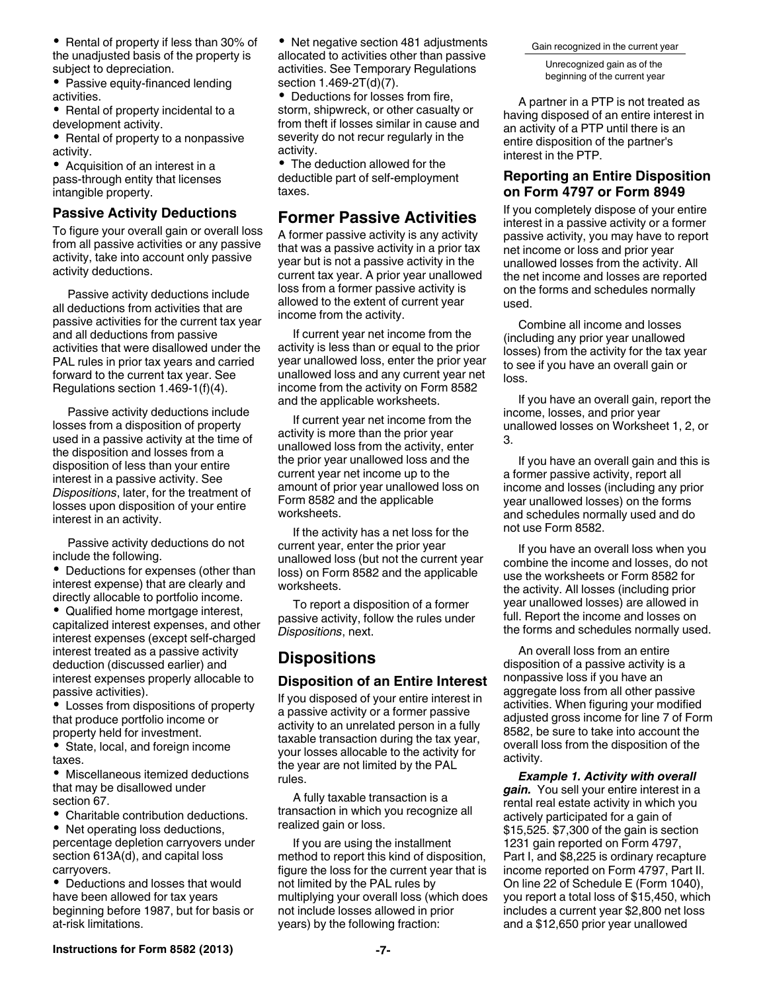- Rental of property if less than 30% of the unadjusted basis of the property is subject to depreciation.
- Passive equity-financed lending activities.
- Rental of property incidental to a development activity.
- Rental of property to a nonpassive activity.

Acquisition of an interest in a pass-through entity that licenses intangible property.

#### **Passive Activity Deductions**

To figure your overall gain or overall loss from all passive activities or any passive activity, take into account only passive activity deductions.

Passive activity deductions include all deductions from activities that are passive activities for the current tax year and all deductions from passive activities that were disallowed under the PAL rules in prior tax years and carried forward to the current tax year. See Regulations section 1.469-1(f)(4).

Passive activity deductions include losses from a disposition of property used in a passive activity at the time of the disposition and losses from a disposition of less than your entire interest in a passive activity. See *Dispositions*, later, for the treatment of losses upon disposition of your entire interest in an activity.

Passive activity deductions do not include the following.

• Deductions for expenses (other than interest expense) that are clearly and directly allocable to portfolio income.

Qualified home mortgage interest, capitalized interest expenses, and other interest expenses (except self-charged interest treated as a passive activity deduction (discussed earlier) and interest expenses properly allocable to passive activities).

Losses from dispositions of property that produce portfolio income or property held for investment.

State, local, and foreign income taxes.

Miscellaneous itemized deductions that may be disallowed under section 67.

Charitable contribution deductions.

• Net operating loss deductions, percentage depletion carryovers under section 613A(d), and capital loss carryovers.

Deductions and losses that would have been allowed for tax years beginning before 1987, but for basis or at-risk limitations.

• Net negative section 481 adjustments allocated to activities other than passive activities. See Temporary Regulations section 1.469-2T(d)(7).

Deductions for losses from fire, storm, shipwreck, or other casualty or from theft if losses similar in cause and severity do not recur regularly in the activity.

The deduction allowed for the deductible part of self-employment taxes.

### **Former Passive Activities**

A former passive activity is any activity that was a passive activity in a prior tax year but is not a passive activity in the current tax year. A prior year unallowed loss from a former passive activity is allowed to the extent of current year income from the activity.

If current year net income from the activity is less than or equal to the prior year unallowed loss, enter the prior year unallowed loss and any current year net income from the activity on Form 8582 and the applicable worksheets.

If current year net income from the activity is more than the prior year unallowed loss from the activity, enter the prior year unallowed loss and the current year net income up to the amount of prior year unallowed loss on Form 8582 and the applicable worksheets.

If the activity has a net loss for the current year, enter the prior year unallowed loss (but not the current year loss) on Form 8582 and the applicable worksheets.

To report a disposition of a former passive activity, follow the rules under *Dispositions*, next.

## **Dispositions**

#### **Disposition of an Entire Interest**

If you disposed of your entire interest in a passive activity or a former passive activity to an unrelated person in a fully taxable transaction during the tax year, your losses allocable to the activity for the year are not limited by the PAL rules.

A fully taxable transaction is a transaction in which you recognize all realized gain or loss.

If you are using the installment method to report this kind of disposition, figure the loss for the current year that is not limited by the PAL rules by multiplying your overall loss (which does not include losses allowed in prior years) by the following fraction:

Gain recognized in the current year

Unrecognized gain as of the beginning of the current year

A partner in a PTP is not treated as having disposed of an entire interest in an activity of a PTP until there is an entire disposition of the partner's interest in the PTP.

### **Reporting an Entire Disposition on Form 4797 or Form 8949**

If you completely dispose of your entire interest in a passive activity or a former passive activity, you may have to report net income or loss and prior year unallowed losses from the activity. All the net income and losses are reported on the forms and schedules normally used.

Combine all income and losses (including any prior year unallowed losses) from the activity for the tax year to see if you have an overall gain or loss.

If you have an overall gain, report the income, losses, and prior year unallowed losses on Worksheet 1, 2, or 3.

If you have an overall gain and this is a former passive activity, report all income and losses (including any prior year unallowed losses) on the forms and schedules normally used and do not use Form 8582.

If you have an overall loss when you combine the income and losses, do not use the worksheets or Form 8582 for the activity. All losses (including prior year unallowed losses) are allowed in full. Report the income and losses on the forms and schedules normally used.

An overall loss from an entire disposition of a passive activity is a nonpassive loss if you have an aggregate loss from all other passive activities. When figuring your modified adjusted gross income for line 7 of Form 8582, be sure to take into account the overall loss from the disposition of the activity.

*Example 1. Activity with overall gain.* You sell your entire interest in a rental real estate activity in which you actively participated for a gain of \$15,525. \$7,300 of the gain is section 1231 gain reported on Form 4797, Part I, and \$8,225 is ordinary recapture income reported on Form 4797, Part II. On line 22 of Schedule E (Form 1040), you report a total loss of \$15,450, which includes a current year \$2,800 net loss and a \$12,650 prior year unallowed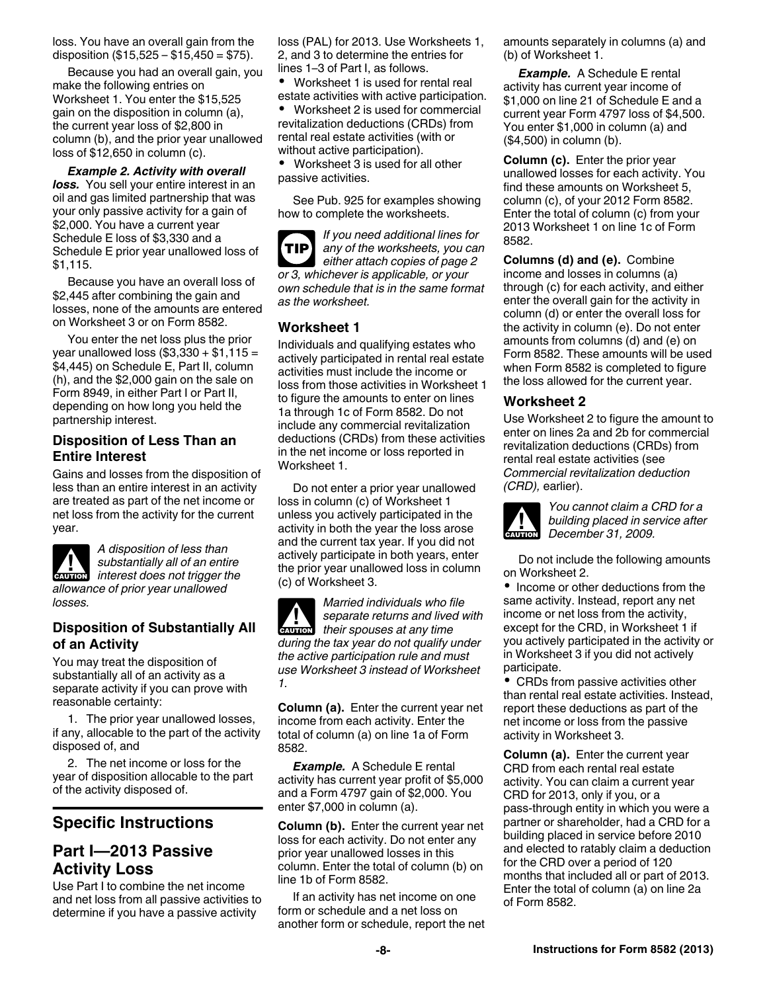loss. You have an overall gain from the disposition  $(\$15,525 - \$15,450 = \$75)$ .

Because you had an overall gain, you make the following entries on Worksheet 1. You enter the \$15,525 gain on the disposition in column (a), the current year loss of \$2,800 in column (b), and the prior year unallowed loss of \$12,650 in column (c).

*Example 2. Activity with overall loss.* You sell your entire interest in an oil and gas limited partnership that was your only passive activity for a gain of \$2,000. You have a current year Schedule E loss of \$3,330 and a Schedule E prior year unallowed loss of \$1,115.

Because you have an overall loss of \$2,445 after combining the gain and losses, none of the amounts are entered on Worksheet 3 or on Form 8582.

You enter the net loss plus the prior year unallowed loss  $(\$3,330 + \$1,115 =$ \$4,445) on Schedule E, Part II, column (h), and the \$2,000 gain on the sale on Form 8949, in either Part I or Part II, depending on how long you held the partnership interest.

### **Disposition of Less Than an Entire Interest**

Gains and losses from the disposition of less than an entire interest in an activity are treated as part of the net income or net loss from the activity for the current year.



*A disposition of less than substantially all of an entire*  **k** substantially all of an entire<br> *interest does not trigger the allowance of prior year unallowed losses.*

## **Disposition of Substantially All of an Activity**

You may treat the disposition of substantially all of an activity as a separate activity if you can prove with reasonable certainty:

1. The prior year unallowed losses, if any, allocable to the part of the activity disposed of, and

2. The net income or loss for the year of disposition allocable to the part of the activity disposed of.

# **Specific Instructions**

## **Part I—2013 Passive Activity Loss**

Use Part I to combine the net income and net loss from all passive activities to determine if you have a passive activity

loss (PAL) for 2013. Use Worksheets 1, 2, and 3 to determine the entries for lines 1–3 of Part I, as follows.

 Worksheet 1 is used for rental real estate activities with active participation.

 Worksheet 2 is used for commercial revitalization deductions (CRDs) from rental real estate activities (with or without active participation).

 Worksheet 3 is used for all other passive activities.

See Pub. 925 for examples showing how to complete the worksheets.

*If you need additional lines for any of the worksheets, you can either attach copies of page 2 or 3, whichever is applicable, or your own schedule that is in the same format as the worksheet.* **TIP**

## **Worksheet 1**

Individuals and qualifying estates who actively participated in rental real estate activities must include the income or loss from those activities in Worksheet 1 to figure the amounts to enter on lines 1a through 1c of Form 8582. Do not include any commercial revitalization deductions (CRDs) from these activities in the net income or loss reported in Worksheet 1.

Do not enter a prior year unallowed loss in column (c) of Worksheet 1 unless you actively participated in the activity in both the year the loss arose and the current tax year. If you did not actively participate in both years, enter the prior year unallowed loss in column (c) of Worksheet 3.

*Married individuals who file separate returns and lived with*  **k** *separate returns and lived*<br> **EXUTION** *their spouses at any time during the tax year do not qualify under the active participation rule and must use Worksheet 3 instead of Worksheet 1.*

**Column (a).** Enter the current year net income from each activity. Enter the total of column (a) on line 1a of Form 8582.

*Example.* A Schedule E rental activity has current year profit of \$5,000 and a Form 4797 gain of \$2,000. You enter \$7,000 in column (a).

**Column (b).** Enter the current year net loss for each activity. Do not enter any prior year unallowed losses in this column. Enter the total of column (b) on line 1b of Form 8582.

If an activity has net income on one form or schedule and a net loss on another form or schedule, report the net amounts separately in columns (a) and (b) of Worksheet 1.

*Example.* A Schedule E rental activity has current year income of \$1,000 on line 21 of Schedule E and a current year Form 4797 loss of \$4,500. You enter \$1,000 in column (a) and (\$4,500) in column (b).

**Column (c).** Enter the prior year unallowed losses for each activity. You find these amounts on Worksheet 5, column (c), of your 2012 Form 8582. Enter the total of column (c) from your 2013 Worksheet 1 on line 1c of Form 8582.

**Columns (d) and (e).** Combine income and losses in columns (a) through (c) for each activity, and either enter the overall gain for the activity in column (d) or enter the overall loss for the activity in column (e). Do not enter amounts from columns (d) and (e) on Form 8582. These amounts will be used when Form 8582 is completed to figure the loss allowed for the current year.

### **Worksheet 2**

Use Worksheet 2 to figure the amount to enter on lines 2a and 2b for commercial revitalization deductions (CRDs) from rental real estate activities (see *Commercial revitalization deduction (CRD),* earlier).



*You cannot claim a CRD for a building placed in service after*  **building placed in se**<br> **December 31, 2009.** 

Do not include the following amounts on Worksheet 2.

• Income or other deductions from the same activity. Instead, report any net income or net loss from the activity, except for the CRD, in Worksheet 1 if you actively participated in the activity or in Worksheet 3 if you did not actively participate.

CRDs from passive activities other than rental real estate activities. Instead, report these deductions as part of the net income or loss from the passive activity in Worksheet 3.

**Column (a).** Enter the current year CRD from each rental real estate activity. You can claim a current year CRD for 2013, only if you, or a pass-through entity in which you were a partner or shareholder, had a CRD for a building placed in service before 2010 and elected to ratably claim a deduction for the CRD over a period of 120 months that included all or part of 2013. Enter the total of column (a) on line 2a of Form 8582.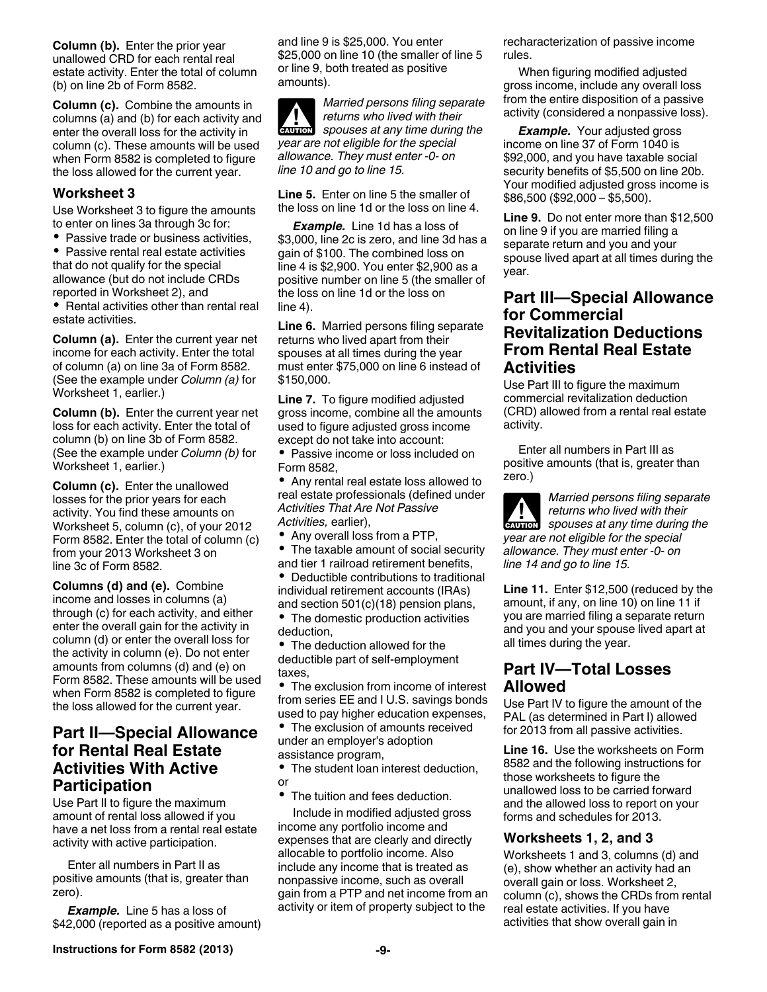**Column (b).** Enter the prior year unallowed CRD for each rental real estate activity. Enter the total of column (b) on line 2b of Form 8582.

**Column (c).** Combine the amounts in columns (a) and (b) for each activity and enter the overall loss for the activity in column (c). These amounts will be used when Form 8582 is completed to figure the loss allowed for the current year.

#### **Worksheet 3**

Use Worksheet 3 to figure the amounts to enter on lines 3a through 3c for:

• Passive trade or business activities, • Passive rental real estate activities

that do not qualify for the special allowance (but do not include CRDs reported in Worksheet 2), and

• Rental activities other than rental real estate activities.

**Column (a).** Enter the current year net income for each activity. Enter the total of column (a) on line 3a of Form 8582. (See the example under *Column (a)* for Worksheet 1, earlier.)

**Column (b).** Enter the current year net loss for each activity. Enter the total of column (b) on line 3b of Form 8582. (See the example under *Column (b)* for Worksheet 1, earlier.)

**Column (c).** Enter the unallowed losses for the prior years for each activity. You find these amounts on Worksheet 5, column (c), of your 2012 Form 8582. Enter the total of column (c) from your 2013 Worksheet 3 on line 3c of Form 8582.

**Columns (d) and (e).** Combine income and losses in columns (a) through (c) for each activity, and either enter the overall gain for the activity in column (d) or enter the overall loss for the activity in column (e). Do not enter amounts from columns (d) and (e) on Form 8582. These amounts will be used when Form 8582 is completed to figure the loss allowed for the current year.

## **Part II—Special Allowance for Rental Real Estate Activities With Active Participation**

Use Part II to figure the maximum amount of rental loss allowed if you have a net loss from a rental real estate activity with active participation.

Enter all numbers in Part II as positive amounts (that is, greater than zero).

*Example.* Line 5 has a loss of \$42,000 (reported as a positive amount) and line 9 is \$25,000. You enter \$25,000 on line 10 (the smaller of line 5 or line 9, both treated as positive amounts).

*Married persons filing separate returns who lived with their*  **z** *spouses at any time during the year are not eligible for the special allowance. They must enter -0- on line 10 and go to line 15.*

**Line 5.** Enter on line 5 the smaller of the loss on line 1d or the loss on line 4.

*Example.* Line 1d has a loss of \$3,000, line 2c is zero, and line 3d has a gain of \$100. The combined loss on line 4 is \$2,900. You enter \$2,900 as a positive number on line 5 (the smaller of the loss on line 1d or the loss on  $line 4$ ).

**Line 6.** Married persons filing separate returns who lived apart from their spouses at all times during the year must enter \$75,000 on line 6 instead of \$150,000.

**Line 7.** To figure modified adjusted gross income, combine all the amounts used to figure adjusted gross income except do not take into account:

• Passive income or loss included on Form 8582,

Any rental real estate loss allowed to real estate professionals (defined under *Activities That Are Not Passive Activities,* earlier),

- Any overall loss from a PTP,
- $\bullet$ The taxable amount of social security and tier 1 railroad retirement benefits,
- $\bullet$ Deductible contributions to traditional individual retirement accounts (IRAs) and section 501(c)(18) pension plans,
- The domestic production activities deduction,
- The deduction allowed for the deductible part of self-employment taxes,

• The exclusion from income of interest from series EE and I U.S. savings bonds used to pay higher education expenses,

The exclusion of amounts received under an employer's adoption assistance program,

• The student loan interest deduction, or

• The tuition and fees deduction.

Include in modified adjusted gross income any portfolio income and expenses that are clearly and directly allocable to portfolio income. Also include any income that is treated as nonpassive income, such as overall gain from a PTP and net income from an activity or item of property subject to the

recharacterization of passive income rules.

When figuring modified adjusted gross income, include any overall loss from the entire disposition of a passive activity (considered a nonpassive loss).

*Example.* Your adjusted gross income on line 37 of Form 1040 is \$92,000, and you have taxable social security benefits of \$5,500 on line 20b. Your modified adjusted gross income is \$86,500 (\$92,000 – \$5,500).

**Line 9.** Do not enter more than \$12,500 on line 9 if you are married filing a separate return and you and your spouse lived apart at all times during the year.

## **Part III—Special Allowance for Commercial Revitalization Deductions From Rental Real Estate Activities**

Use Part III to figure the maximum commercial revitalization deduction (CRD) allowed from a rental real estate activity.

Enter all numbers in Part III as positive amounts (that is, greater than zero.)

*Married persons filing separate returns who lived with their*  **z** *spouses at any time during the year are not eligible for the special allowance. They must enter -0- on line 14 and go to line 15.*

**Line 11.** Enter \$12,500 (reduced by the amount, if any, on line 10) on line 11 if you are married filing a separate return and you and your spouse lived apart at all times during the year.

# **Part IV—Total Losses Allowed**

Use Part IV to figure the amount of the PAL (as determined in Part I) allowed for 2013 from all passive activities.

**Line 16.** Use the worksheets on Form 8582 and the following instructions for those worksheets to figure the unallowed loss to be carried forward and the allowed loss to report on your forms and schedules for 2013.

## **Worksheets 1, 2, and 3**

Worksheets 1 and 3, columns (d) and (e), show whether an activity had an overall gain or loss. Worksheet 2, column (c), shows the CRDs from rental real estate activities. If you have activities that show overall gain in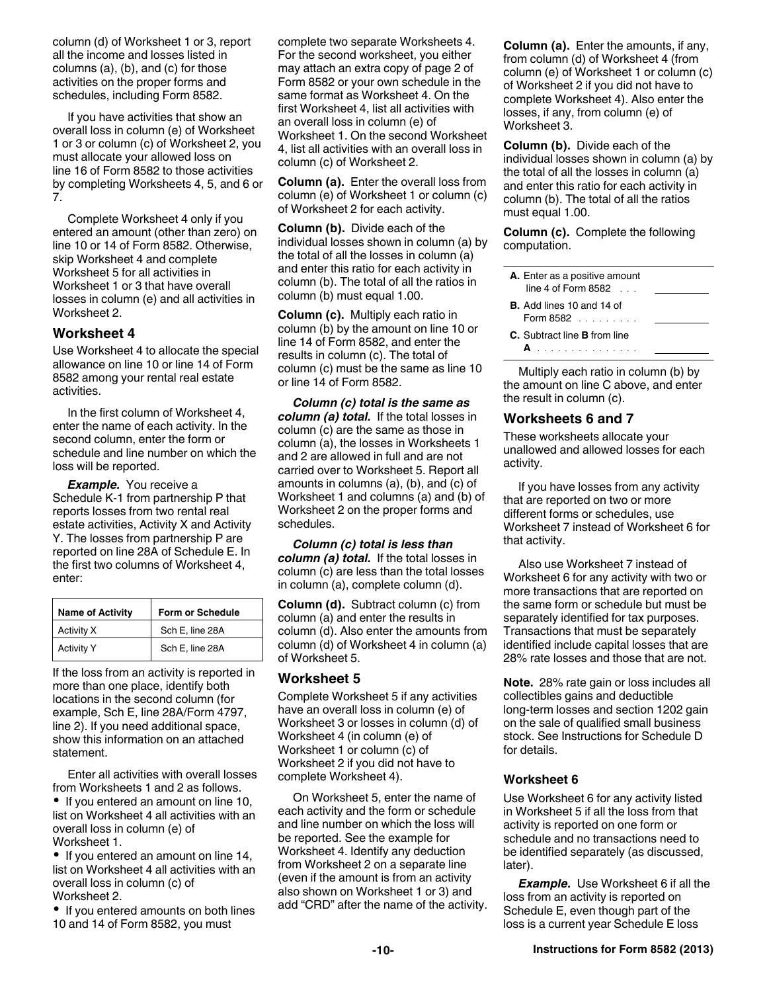column (d) of Worksheet 1 or 3, report all the income and losses listed in columns (a), (b), and (c) for those activities on the proper forms and schedules, including Form 8582.

If you have activities that show an overall loss in column (e) of Worksheet 1 or 3 or column (c) of Worksheet 2, you must allocate your allowed loss on line 16 of Form 8582 to those activities by completing Worksheets 4, 5, and 6 or 7.

Complete Worksheet 4 only if you entered an amount (other than zero) on line 10 or 14 of Form 8582. Otherwise, skip Worksheet 4 and complete Worksheet 5 for all activities in Worksheet 1 or 3 that have overall losses in column (e) and all activities in Worksheet 2.

#### **Worksheet 4**

Use Worksheet 4 to allocate the special allowance on line 10 or line 14 of Form 8582 among your rental real estate activities.

In the first column of Worksheet 4, enter the name of each activity. In the second column, enter the form or schedule and line number on which the loss will be reported.

*Example.* You receive a Schedule K-1 from partnership P that reports losses from two rental real estate activities, Activity X and Activity Y. The losses from partnership P are reported on line 28A of Schedule E. In the first two columns of Worksheet 4, enter:

| <b>Name of Activity</b> | Form or Schedule |
|-------------------------|------------------|
| Activity X              | Sch E, line 28A  |
| <b>Activity Y</b>       | Sch E, line 28A  |

If the loss from an activity is reported in more than one place, identify both locations in the second column (for example, Sch E, line 28A/Form 4797, line 2). If you need additional space, show this information on an attached statement.

Enter all activities with overall losses from Worksheets 1 and 2 as follows.

• If you entered an amount on line 10, list on Worksheet 4 all activities with an overall loss in column (e) of Worksheet 1.

• If you entered an amount on line 14, list on Worksheet 4 all activities with an overall loss in column (c) of Worksheet 2.

• If you entered amounts on both lines 10 and 14 of Form 8582, you must

complete two separate Worksheets 4. For the second worksheet, you either may attach an extra copy of page 2 of Form 8582 or your own schedule in the same format as Worksheet 4. On the first Worksheet 4, list all activities with an overall loss in column (e) of Worksheet 1. On the second Worksheet 4, list all activities with an overall loss in column (c) of Worksheet 2.

**Column (a).** Enter the overall loss from column (e) of Worksheet 1 or column (c) of Worksheet 2 for each activity.

**Column (b).** Divide each of the individual losses shown in column (a) by the total of all the losses in column (a) and enter this ratio for each activity in column (b). The total of all the ratios in column (b) must equal 1.00.

**Column (c).** Multiply each ratio in column (b) by the amount on line 10 or line 14 of Form 8582, and enter the results in column (c). The total of column (c) must be the same as line 10 or line 14 of Form 8582.

*Column (c) total is the same as column (a) total.* If the total losses in column (c) are the same as those in column (a), the losses in Worksheets 1 and 2 are allowed in full and are not carried over to Worksheet 5. Report all amounts in columns (a), (b), and (c) of Worksheet 1 and columns (a) and (b) of Worksheet 2 on the proper forms and schedules.

*Column (c) total is less than column (a) total.* If the total losses in column (c) are less than the total losses in column (a), complete column (d).

**Column (d).** Subtract column (c) from column (a) and enter the results in column (d). Also enter the amounts from column (d) of Worksheet 4 in column (a) of Worksheet 5.

#### **Worksheet 5**

Complete Worksheet 5 if any activities have an overall loss in column (e) of Worksheet 3 or losses in column (d) of Worksheet 4 (in column (e) of Worksheet 1 or column (c) of Worksheet 2 if you did not have to complete Worksheet 4).

On Worksheet 5, enter the name of each activity and the form or schedule and line number on which the loss will be reported. See the example for Worksheet 4. Identify any deduction from Worksheet 2 on a separate line (even if the amount is from an activity also shown on Worksheet 1 or 3) and add "CRD" after the name of the activity. **Column (a).** Enter the amounts, if any, from column (d) of Worksheet 4 (from column (e) of Worksheet 1 or column (c) of Worksheet 2 if you did not have to complete Worksheet 4). Also enter the losses, if any, from column (e) of Worksheet 3.

**Column (b).** Divide each of the individual losses shown in column (a) by the total of all the losses in column (a) and enter this ratio for each activity in column (b). The total of all the ratios must equal 1.00.

**Column (c).** Complete the following computation.

| A. Enter as a positive amount<br>line 4 of Form 8582 $\ldots$ |  |
|---------------------------------------------------------------|--|
| <b>B.</b> Add lines 10 and 14 of<br>Form $8582$               |  |
| <b>C.</b> Subtract line <b>B</b> from line                    |  |

Multiply each ratio in column (b) by the amount on line C above, and enter the result in column (c).

#### **Worksheets 6 and 7**

These worksheets allocate your unallowed and allowed losses for each activity.

If you have losses from any activity that are reported on two or more different forms or schedules, use Worksheet 7 instead of Worksheet 6 for that activity.

Also use Worksheet 7 instead of Worksheet 6 for any activity with two or more transactions that are reported on the same form or schedule but must be separately identified for tax purposes. Transactions that must be separately identified include capital losses that are 28% rate losses and those that are not.

**Note.** 28% rate gain or loss includes all collectibles gains and deductible long-term losses and section 1202 gain on the sale of qualified small business stock. See Instructions for Schedule D for details.

#### **Worksheet 6**

Use Worksheet 6 for any activity listed in Worksheet 5 if all the loss from that activity is reported on one form or schedule and no transactions need to be identified separately (as discussed, later).

**Example.** Use Worksheet 6 if all the loss from an activity is reported on Schedule E, even though part of the loss is a current year Schedule E loss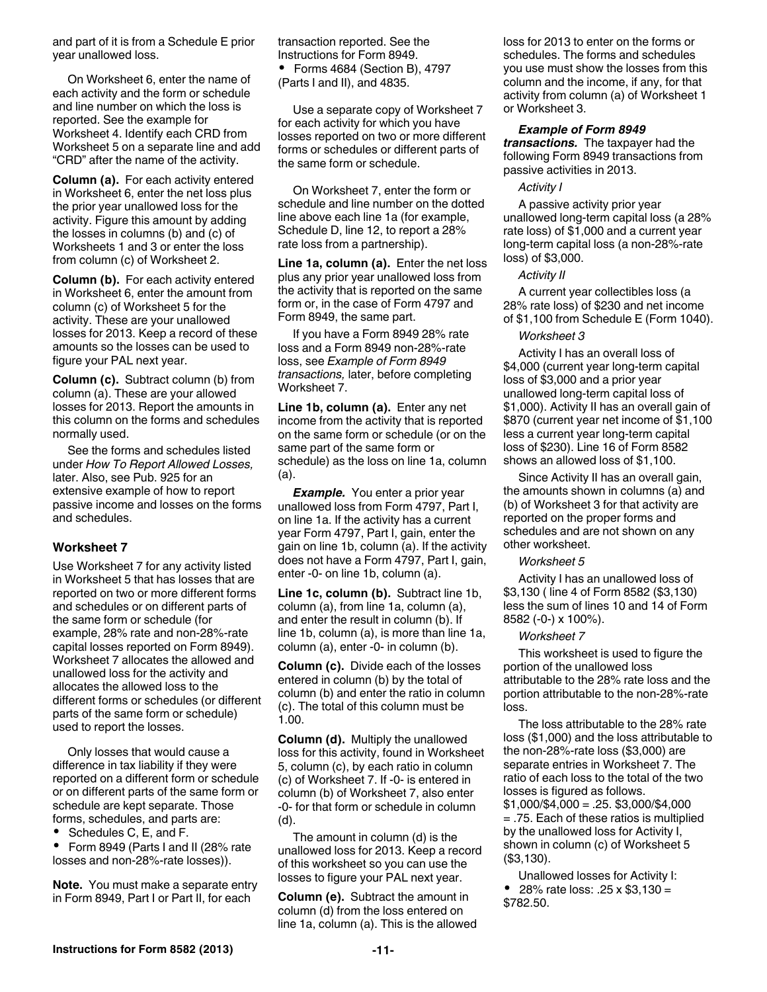and part of it is from a Schedule E prior year unallowed loss.

On Worksheet 6, enter the name of each activity and the form or schedule and line number on which the loss is reported. See the example for Worksheet 4. Identify each CRD from Worksheet 5 on a separate line and add "CRD" after the name of the activity.

**Column (a).** For each activity entered in Worksheet 6, enter the net loss plus the prior year unallowed loss for the activity. Figure this amount by adding the losses in columns (b) and (c) of Worksheets 1 and 3 or enter the loss from column (c) of Worksheet 2.

**Column (b).** For each activity entered in Worksheet 6, enter the amount from column (c) of Worksheet 5 for the activity. These are your unallowed losses for 2013. Keep a record of these amounts so the losses can be used to figure your PAL next year.

**Column (c).** Subtract column (b) from column (a). These are your allowed losses for 2013. Report the amounts in this column on the forms and schedules normally used.

See the forms and schedules listed under *How To Report Allowed Losses,*  later. Also, see Pub. 925 for an extensive example of how to report passive income and losses on the forms and schedules.

#### **Worksheet 7**

Use Worksheet 7 for any activity listed in Worksheet 5 that has losses that are reported on two or more different forms and schedules or on different parts of the same form or schedule (for example, 28% rate and non-28%-rate capital losses reported on Form 8949). Worksheet 7 allocates the allowed and unallowed loss for the activity and allocates the allowed loss to the different forms or schedules (or different parts of the same form or schedule) used to report the losses.

Only losses that would cause a difference in tax liability if they were reported on a different form or schedule or on different parts of the same form or schedule are kept separate. Those forms, schedules, and parts are:

Schedules C, E, and F.

 Form 8949 (Parts I and II (28% rate losses and non-28%-rate losses)).

**Note.** You must make a separate entry in Form 8949, Part I or Part II, for each

transaction reported. See the Instructions for Form 8949.

 Forms 4684 (Section B), 4797 (Parts I and II), and 4835.

Use a separate copy of Worksheet 7 for each activity for which you have losses reported on two or more different forms or schedules or different parts of the same form or schedule.

On Worksheet 7, enter the form or schedule and line number on the dotted line above each line 1a (for example, Schedule D, line 12, to report a 28% rate loss from a partnership).

**Line 1a, column (a).** Enter the net loss plus any prior year unallowed loss from the activity that is reported on the same form or, in the case of Form 4797 and Form 8949, the same part.

If you have a Form 8949 28% rate loss and a Form 8949 non-28%-rate loss, see *Example of Form 8949 transactions,* later, before completing Worksheet 7.

**Line 1b, column (a).** Enter any net income from the activity that is reported on the same form or schedule (or on the same part of the same form or schedule) as the loss on line 1a, column (a).

*Example.* You enter a prior year unallowed loss from Form 4797, Part I, on line 1a. If the activity has a current year Form 4797, Part I, gain, enter the gain on line 1b, column (a). If the activity does not have a Form 4797, Part I, gain, enter -0- on line 1b, column (a).

**Line 1c, column (b).** Subtract line 1b, column (a), from line 1a, column (a), and enter the result in column (b). If line 1b, column (a), is more than line 1a, column (a), enter -0- in column (b).

**Column (c).** Divide each of the losses entered in column (b) by the total of column (b) and enter the ratio in column (c). The total of this column must be 1.00.

**Column (d).** Multiply the unallowed loss for this activity, found in Worksheet 5, column (c), by each ratio in column (c) of Worksheet 7. If -0- is entered in column (b) of Worksheet 7, also enter -0- for that form or schedule in column (d).

The amount in column (d) is the unallowed loss for 2013. Keep a record of this worksheet so you can use the losses to figure your PAL next year.

**Column (e).** Subtract the amount in column (d) from the loss entered on line 1a, column (a). This is the allowed loss for 2013 to enter on the forms or schedules. The forms and schedules you use must show the losses from this column and the income, if any, for that activity from column (a) of Worksheet 1 or Worksheet 3.

#### *Example of Form 8949*

*transactions.* The taxpayer had the following Form 8949 transactions from passive activities in 2013.

#### *Activity I*

A passive activity prior year unallowed long-term capital loss (a 28% rate loss) of \$1,000 and a current year long-term capital loss (a non-28%-rate loss) of \$3,000.

#### *Activity II*

A current year collectibles loss (a 28% rate loss) of \$230 and net income of \$1,100 from Schedule E (Form 1040).

#### *Worksheet 3*

Activity I has an overall loss of \$4,000 (current year long-term capital loss of \$3,000 and a prior year unallowed long-term capital loss of \$1,000). Activity II has an overall gain of \$870 (current year net income of \$1,100 less a current year long-term capital loss of \$230). Line 16 of Form 8582 shows an allowed loss of \$1,100.

Since Activity II has an overall gain, the amounts shown in columns (a) and (b) of Worksheet 3 for that activity are reported on the proper forms and schedules and are not shown on any other worksheet.

#### *Worksheet 5*

Activity I has an unallowed loss of \$3,130 ( line 4 of Form 8582 (\$3,130) less the sum of lines 10 and 14 of Form 8582 (-0-) x 100%).

#### *Worksheet 7*

This worksheet is used to figure the portion of the unallowed loss attributable to the 28% rate loss and the portion attributable to the non-28%-rate loss.

The loss attributable to the 28% rate loss (\$1,000) and the loss attributable to the non-28%-rate loss (\$3,000) are separate entries in Worksheet 7. The ratio of each loss to the total of the two losses is figured as follows. \$1,000/\$4,000 = .25. \$3,000/\$4,000 = .75. Each of these ratios is multiplied by the unallowed loss for Activity I, shown in column (c) of Worksheet 5 (\$3,130).

Unallowed losses for Activity I: • 28% rate loss: .25 x \$3,130 = \$782.50.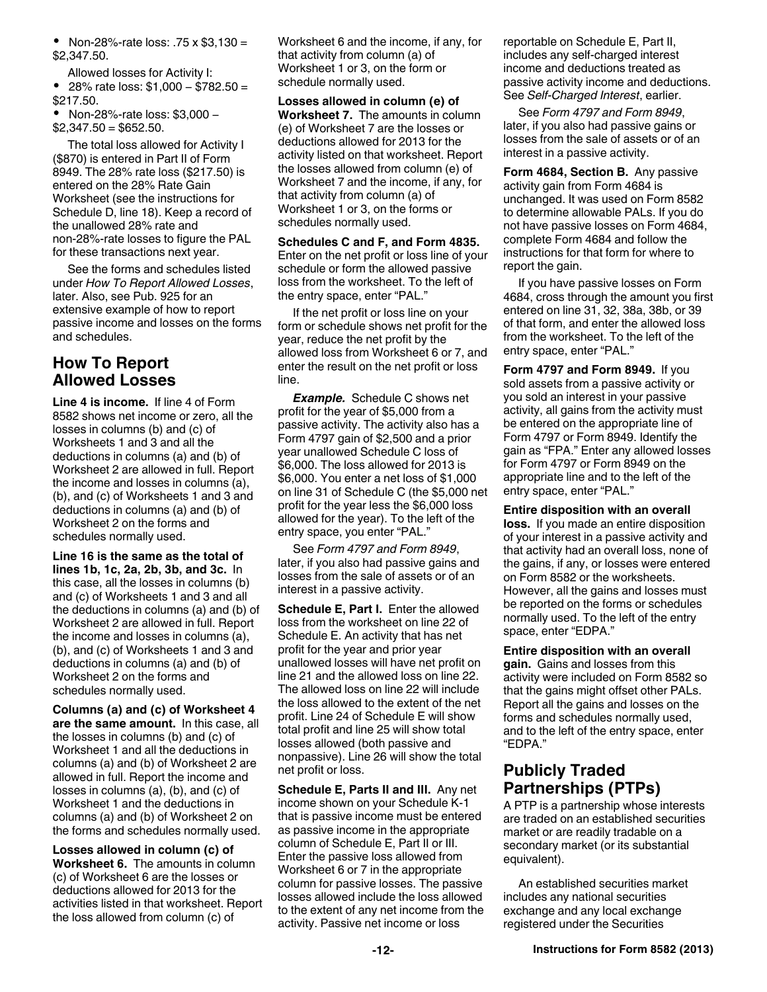• Non-28%-rate loss:  $.75 \times $3,130 =$ \$2,347.50.

Allowed losses for Activity I:

 28% rate loss: \$1,000 − \$782.50 = \$217.50.

 Non-28%-rate loss: \$3,000 −  $$2,347.50 = $652.50$ .

The total loss allowed for Activity I (\$870) is entered in Part II of Form 8949. The 28% rate loss (\$217.50) is entered on the 28% Rate Gain Worksheet (see the instructions for Schedule D, line 18). Keep a record of the unallowed 28% rate and non-28%-rate losses to figure the PAL for these transactions next year.

See the forms and schedules listed under *How To Report Allowed Losses*, later. Also, see Pub. 925 for an extensive example of how to report passive income and losses on the forms and schedules.

# **How To Report Allowed Losses**

**Line 4 is income.** If line 4 of Form 8582 shows net income or zero, all the losses in columns (b) and (c) of Worksheets 1 and 3 and all the deductions in columns (a) and (b) of Worksheet 2 are allowed in full. Report the income and losses in columns (a), (b), and (c) of Worksheets 1 and 3 and deductions in columns (a) and (b) of Worksheet 2 on the forms and schedules normally used.

**Line 16 is the same as the total of lines 1b, 1c, 2a, 2b, 3b, and 3c.** In this case, all the losses in columns (b) and (c) of Worksheets 1 and 3 and all the deductions in columns (a) and (b) of Worksheet 2 are allowed in full. Report the income and losses in columns (a), (b), and (c) of Worksheets 1 and 3 and deductions in columns (a) and (b) of Worksheet 2 on the forms and schedules normally used.

**Columns (a) and (c) of Worksheet 4 are the same amount.** In this case, all the losses in columns (b) and (c) of Worksheet 1 and all the deductions in columns (a) and (b) of Worksheet 2 are allowed in full. Report the income and losses in columns (a), (b), and (c) of Worksheet 1 and the deductions in columns (a) and (b) of Worksheet 2 on the forms and schedules normally used.

**Losses allowed in column (c) of Worksheet 6.** The amounts in column (c) of Worksheet 6 are the losses or deductions allowed for 2013 for the activities listed in that worksheet. Report the loss allowed from column (c) of

Worksheet 6 and the income, if any, for that activity from column (a) of Worksheet 1 or 3, on the form or schedule normally used.

**Losses allowed in column (e) of Worksheet 7.** The amounts in column (e) of Worksheet 7 are the losses or deductions allowed for 2013 for the activity listed on that worksheet. Report the losses allowed from column (e) of Worksheet 7 and the income, if any, for that activity from column (a) of Worksheet 1 or 3, on the forms or schedules normally used.

**Schedules C and F, and Form 4835.**  Enter on the net profit or loss line of your schedule or form the allowed passive loss from the worksheet. To the left of the entry space, enter "PAL."

If the net profit or loss line on your form or schedule shows net profit for the year, reduce the net profit by the allowed loss from Worksheet 6 or 7, and enter the result on the net profit or loss line.

*Example.* Schedule C shows net profit for the year of \$5,000 from a passive activity. The activity also has a Form 4797 gain of \$2,500 and a prior year unallowed Schedule C loss of \$6,000. The loss allowed for 2013 is \$6,000. You enter a net loss of \$1,000 on line 31 of Schedule C (the \$5,000 net profit for the year less the \$6,000 loss allowed for the year). To the left of the entry space, you enter "PAL."

See *Form 4797 and Form 8949*, later, if you also had passive gains and losses from the sale of assets or of an interest in a passive activity.

**Schedule E. Part I. Enter the allowed** loss from the worksheet on line 22 of Schedule E. An activity that has net profit for the year and prior year unallowed losses will have net profit on line 21 and the allowed loss on line 22. The allowed loss on line 22 will include the loss allowed to the extent of the net profit. Line 24 of Schedule E will show total profit and line 25 will show total losses allowed (both passive and nonpassive). Line 26 will show the total net profit or loss.

**Schedule E, Parts II and III.** Any net income shown on your Schedule K-1 that is passive income must be entered as passive income in the appropriate column of Schedule E, Part II or III. Enter the passive loss allowed from Worksheet 6 or 7 in the appropriate column for passive losses. The passive losses allowed include the loss allowed to the extent of any net income from the activity. Passive net income or loss

reportable on Schedule E, Part II, includes any self-charged interest income and deductions treated as passive activity income and deductions. See *Self-Charged Interest*, earlier.

See *Form 4797 and Form 8949*, later, if you also had passive gains or losses from the sale of assets or of an interest in a passive activity.

**Form 4684, Section B.** Any passive activity gain from Form 4684 is unchanged. It was used on Form 8582 to determine allowable PALs. If you do not have passive losses on Form 4684, complete Form 4684 and follow the instructions for that form for where to report the gain.

If you have passive losses on Form 4684, cross through the amount you first entered on line 31, 32, 38a, 38b, or 39 of that form, and enter the allowed loss from the worksheet. To the left of the entry space, enter "PAL."

**Form 4797 and Form 8949.** If you sold assets from a passive activity or you sold an interest in your passive activity, all gains from the activity must be entered on the appropriate line of Form 4797 or Form 8949. Identify the gain as "FPA." Enter any allowed losses for Form 4797 or Form 8949 on the appropriate line and to the left of the entry space, enter "PAL."

**Entire disposition with an overall** 

**loss.** If you made an entire disposition of your interest in a passive activity and that activity had an overall loss, none of the gains, if any, or losses were entered on Form 8582 or the worksheets. However, all the gains and losses must be reported on the forms or schedules normally used. To the left of the entry space, enter "EDPA."

**Entire disposition with an overall gain.** Gains and losses from this activity were included on Form 8582 so that the gains might offset other PALs. Report all the gains and losses on the forms and schedules normally used, and to the left of the entry space, enter "EDPA."

# **Publicly Traded Partnerships (PTPs)**

A PTP is a partnership whose interests are traded on an established securities market or are readily tradable on a secondary market (or its substantial equivalent).

An established securities market includes any national securities exchange and any local exchange registered under the Securities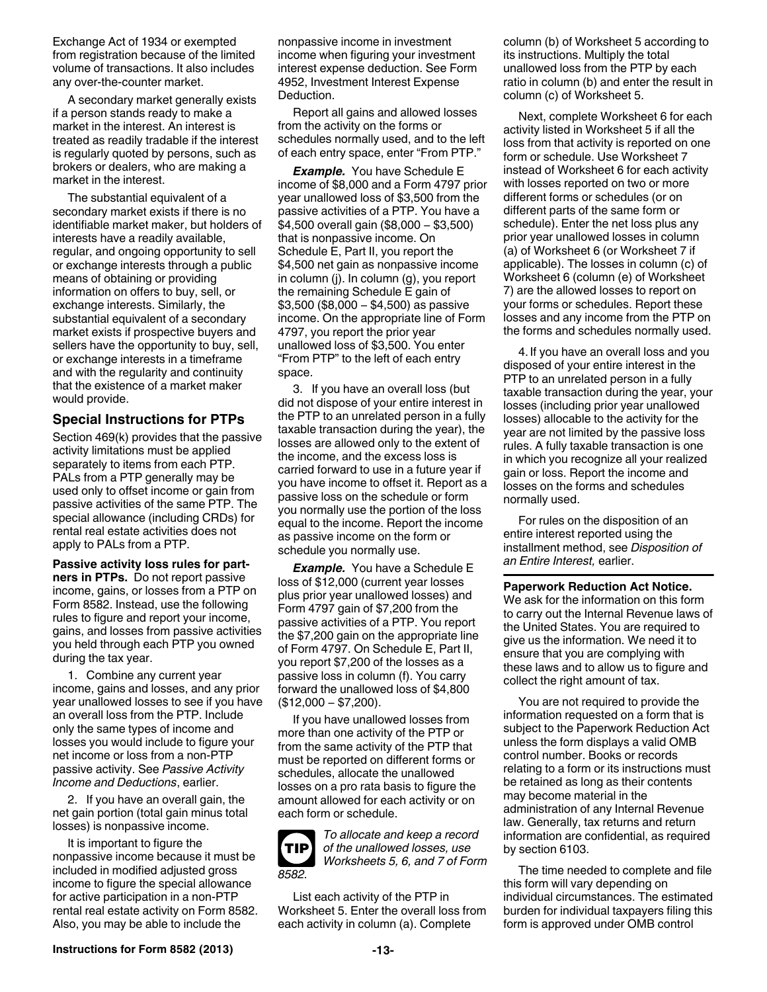Exchange Act of 1934 or exempted from registration because of the limited volume of transactions. It also includes any over-the-counter market.

A secondary market generally exists if a person stands ready to make a market in the interest. An interest is treated as readily tradable if the interest is regularly quoted by persons, such as brokers or dealers, who are making a market in the interest.

The substantial equivalent of a secondary market exists if there is no identifiable market maker, but holders of interests have a readily available, regular, and ongoing opportunity to sell or exchange interests through a public means of obtaining or providing information on offers to buy, sell, or exchange interests. Similarly, the substantial equivalent of a secondary market exists if prospective buyers and sellers have the opportunity to buy, sell, or exchange interests in a timeframe and with the regularity and continuity that the existence of a market maker would provide.

### **Special Instructions for PTPs**

Section 469(k) provides that the passive activity limitations must be applied separately to items from each PTP. PALs from a PTP generally may be used only to offset income or gain from passive activities of the same PTP. The special allowance (including CRDs) for rental real estate activities does not apply to PALs from a PTP.

**Passive activity loss rules for partners in PTPs.** Do not report passive income, gains, or losses from a PTP on Form 8582. Instead, use the following rules to figure and report your income, gains, and losses from passive activities you held through each PTP you owned during the tax year.

1. Combine any current year income, gains and losses, and any prior year unallowed losses to see if you have an overall loss from the PTP. Include only the same types of income and losses you would include to figure your net income or loss from a non-PTP passive activity. See *Passive Activity Income and Deductions*, earlier.

2. If you have an overall gain, the net gain portion (total gain minus total losses) is nonpassive income.

It is important to figure the nonpassive income because it must be included in modified adjusted gross income to figure the special allowance for active participation in a non-PTP rental real estate activity on Form 8582. Also, you may be able to include the

nonpassive income in investment income when figuring your investment interest expense deduction. See Form 4952, Investment Interest Expense Deduction.

Report all gains and allowed losses from the activity on the forms or schedules normally used, and to the left of each entry space, enter "From PTP."

*Example.* You have Schedule E income of \$8,000 and a Form 4797 prior year unallowed loss of \$3,500 from the passive activities of a PTP. You have a \$4,500 overall gain (\$8,000 − \$3,500) that is nonpassive income. On Schedule E, Part II, you report the \$4,500 net gain as nonpassive income in column (j). In column (g), you report the remaining Schedule E gain of \$3,500 (\$8,000 − \$4,500) as passive income. On the appropriate line of Form 4797, you report the prior year unallowed loss of \$3,500. You enter "From PTP" to the left of each entry space.

3. If you have an overall loss (but did not dispose of your entire interest in the PTP to an unrelated person in a fully taxable transaction during the year), the losses are allowed only to the extent of the income, and the excess loss is carried forward to use in a future year if you have income to offset it. Report as a passive loss on the schedule or form you normally use the portion of the loss equal to the income. Report the income as passive income on the form or schedule you normally use.

*Example.* You have a Schedule E loss of \$12,000 (current year losses plus prior year unallowed losses) and Form 4797 gain of \$7,200 from the passive activities of a PTP. You report the \$7,200 gain on the appropriate line of Form 4797. On Schedule E, Part II, you report \$7,200 of the losses as a passive loss in column (f). You carry forward the unallowed loss of \$4,800 (\$12,000 − \$7,200).

If you have unallowed losses from more than one activity of the PTP or from the same activity of the PTP that must be reported on different forms or schedules, allocate the unallowed losses on a pro rata basis to figure the amount allowed for each activity or on each form or schedule.



*To allocate and keep a record of the unallowed losses, use Worksheets 5, 6, and 7 of Form* 

List each activity of the PTP in Worksheet 5. Enter the overall loss from each activity in column (a). Complete

column (b) of Worksheet 5 according to its instructions. Multiply the total unallowed loss from the PTP by each ratio in column (b) and enter the result in column (c) of Worksheet 5.

Next, complete Worksheet 6 for each activity listed in Worksheet 5 if all the loss from that activity is reported on one form or schedule. Use Worksheet 7 instead of Worksheet 6 for each activity with losses reported on two or more different forms or schedules (or on different parts of the same form or schedule). Enter the net loss plus any prior year unallowed losses in column (a) of Worksheet 6 (or Worksheet 7 if applicable). The losses in column (c) of Worksheet 6 (column (e) of Worksheet 7) are the allowed losses to report on your forms or schedules. Report these losses and any income from the PTP on the forms and schedules normally used.

4. If you have an overall loss and you disposed of your entire interest in the PTP to an unrelated person in a fully taxable transaction during the year, your losses (including prior year unallowed losses) allocable to the activity for the year are not limited by the passive loss rules. A fully taxable transaction is one in which you recognize all your realized gain or loss. Report the income and losses on the forms and schedules normally used.

For rules on the disposition of an entire interest reported using the installment method, see *Disposition of an Entire Interest,* earlier.

**Paperwork Reduction Act Notice.**  We ask for the information on this form to carry out the Internal Revenue laws of the United States. You are required to give us the information. We need it to ensure that you are complying with these laws and to allow us to figure and collect the right amount of tax.

You are not required to provide the information requested on a form that is subject to the Paperwork Reduction Act unless the form displays a valid OMB control number. Books or records relating to a form or its instructions must be retained as long as their contents may become material in the administration of any Internal Revenue law. Generally, tax returns and return information are confidential, as required by section 6103.

The time needed to complete and file this form will vary depending on individual circumstances. The estimated burden for individual taxpayers filing this form is approved under OMB control